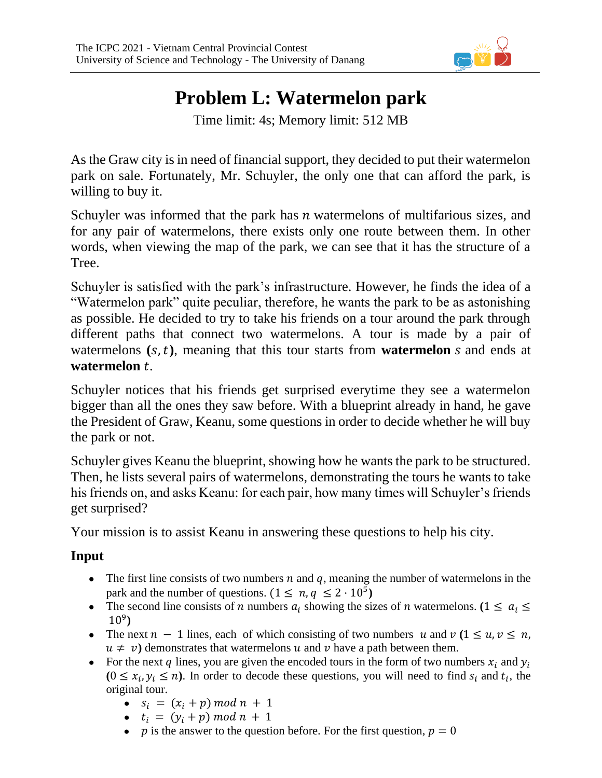

## **Problem L: Watermelon park**

Time limit: 4s; Memory limit: 512 MB

As the Graw city is in need of financial support, they decided to put their watermelon park on sale. Fortunately, Mr. Schuyler, the only one that can afford the park, is willing to buy it.

Schuyler was informed that the park has  $n$  watermelons of multifarious sizes, and for any pair of watermelons, there exists only one route between them. In other words, when viewing the map of the park, we can see that it has the structure of a Tree.

Schuyler is satisfied with the park's infrastructure. However, he finds the idea of a "Watermelon park" quite peculiar, therefore, he wants the park to be as astonishing as possible. He decided to try to take his friends on a tour around the park through different paths that connect two watermelons. A tour is made by a pair of watermelons  $(s, t)$ , meaning that this tour starts from **watermelon**  $s$  and ends at **watermelon** .

Schuyler notices that his friends get surprised everytime they see a watermelon bigger than all the ones they saw before. With a blueprint already in hand, he gave the President of Graw, Keanu, some questions in order to decide whether he will buy the park or not.

Schuyler gives Keanu the blueprint, showing how he wants the park to be structured. Then, he lists several pairs of watermelons, demonstrating the tours he wants to take his friends on, and asks Keanu: for each pair, how many times will Schuyler's friends get surprised?

Your mission is to assist Keanu in answering these questions to help his city.

## **Input**

- The first line consists of two numbers  $n$  and  $q$ , meaning the number of watermelons in the park and the number of questions.  $(1 \le n, q \le 2 \cdot 10^5)$
- The second line consists of *n* numbers  $a_i$  showing the sizes of *n* watermelons. ( $1 \le a_i \le$ 10 9 **)**
- The next  $n 1$  lines, each of which consisting of two numbers  $u$  and  $v$  ( $1 \le u, v \le n$ ,  $u \neq v$ ) demonstrates that watermelons u and v have a path between them.
- For the next q lines, you are given the encoded tours in the form of two numbers  $x_i$  and  $y_i$  $(0 \le x_i, y_i \le n)$ . In order to decode these questions, you will need to find  $s_i$  and  $t_i$ , the original tour.
	- $s_i = (x_i + p) \mod n + 1$
	- $t_i = (y_i + p) \mod n + 1$
	- p is the answer to the question before. For the first question,  $p = 0$